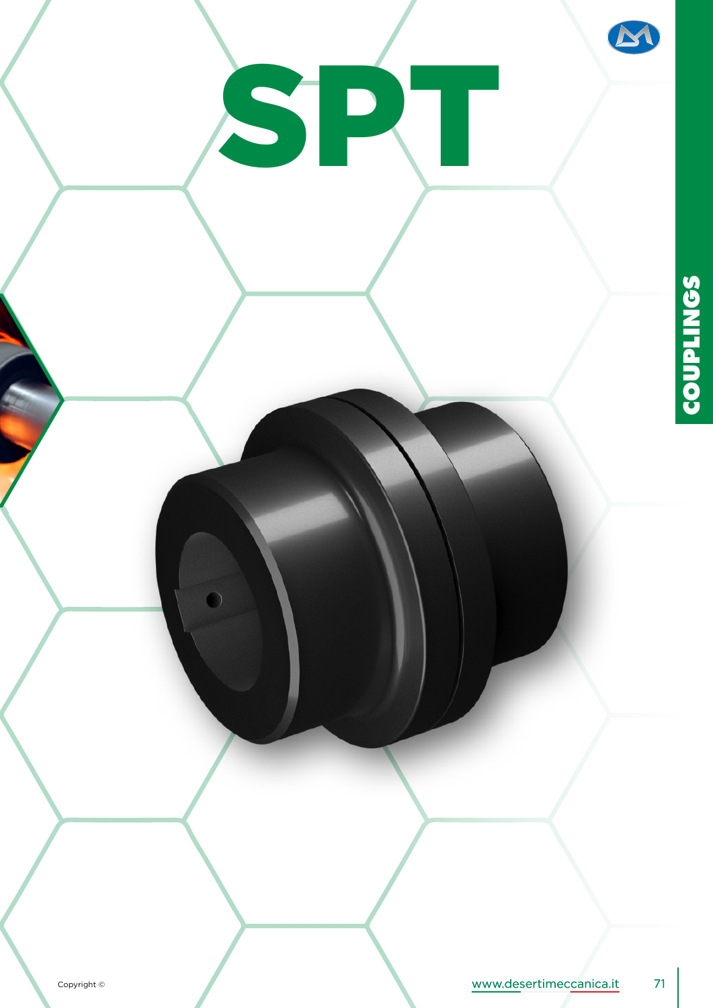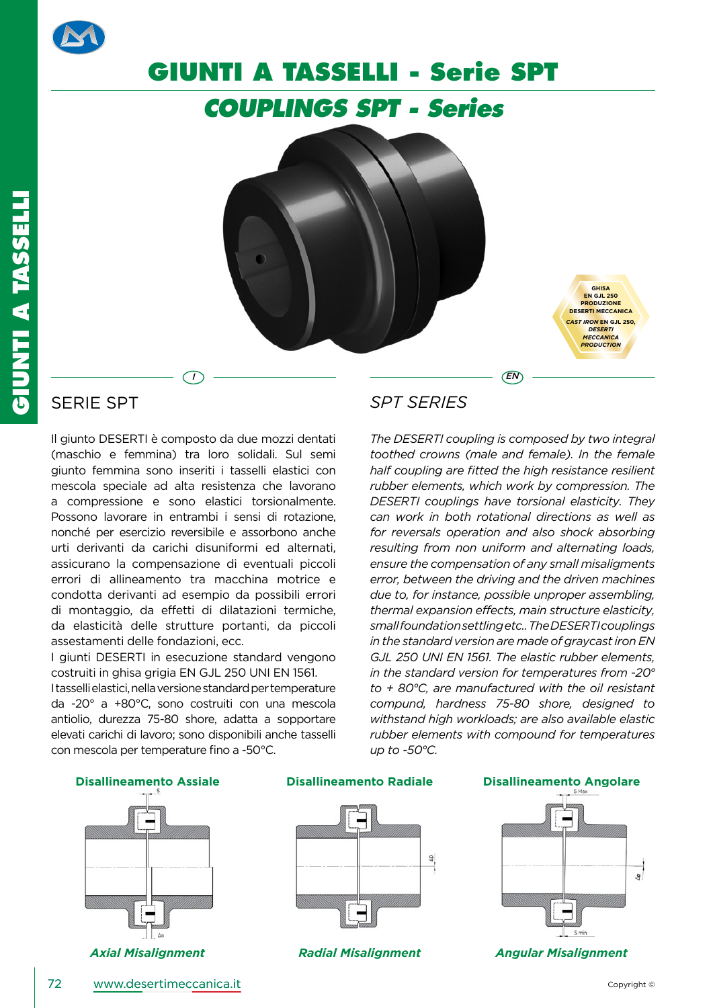

# **GIUNTI A TASSELLI - Serie SPT**

*COUPLINGS SPT - Series*



*I EN*

**GHISA EN GJL 250 PRODUZIONE DESERTI MECCANICA** *CAST IRON* **EN GJL 250***, DESERTI MECCANICA PRODUCTION*

## SERIE SPT

**GIUNTI A TASSELLI**

GIUNTI A TASSELLI

Il giunto DESERTI è composto da due mozzi dentati (maschio e femmina) tra loro solidali. Sul semi giunto femmina sono inseriti i tasselli elastici con mescola speciale ad alta resistenza che lavorano a compressione e sono elastici torsionalmente. Possono lavorare in entrambi i sensi di rotazione, nonché per esercizio reversibile e assorbono anche urti derivanti da carichi disuniformi ed alternati, assicurano la compensazione di eventuali piccoli errori di allineamento tra macchina motrice e condotta derivanti ad esempio da possibili errori di montaggio, da effetti di dilatazioni termiche, da elasticità delle strutture portanti, da piccoli assestamenti delle fondazioni, ecc.

I giunti DESERTI in esecuzione standard vengono costruiti in ghisa grigia EN GJL 250 UNI EN 1561.

I tasselli elastici, nella versione standard per temperature da -20° a +80°C, sono costruiti con una mescola antiolio, durezza 75-80 shore, adatta a sopportare elevati carichi di lavoro; sono disponibili anche tasselli con mescola per temperature fino a -50°C.

## *SPT SERIES*

*The DESERTI coupling is composed by two integral toothed crowns (male and female). In the female half coupling are fitted the high resistance resilient rubber elements, which work by compression. The DESERTI couplings have torsional elasticity. They can work in both rotational directions as well as for reversals operation and also shock absorbing resulting from non uniform and alternating loads, ensure the compensation of any small misaligments error, between the driving and the driven machines due to, for instance, possible unproper assembling, thermal expansion effects, main structure elasticity, small foundation settling etc.. The DESERTI couplings in the standard version are made of graycast iron EN GJL 250 UNI EN 1561. The elastic rubber elements, in the standard version for temperatures from -20° to + 80°C, are manufactured with the oil resistant compund, hardness 75-80 shore, designed to withstand high workloads; are also available elastic rubber elements with compound for temperatures up to -50°C.*



**Disallineamento Assiale Disallineamento Radiale Disallineamento Angolare**





*Axial Misalignment Radial Misalignment Angular Misalignment*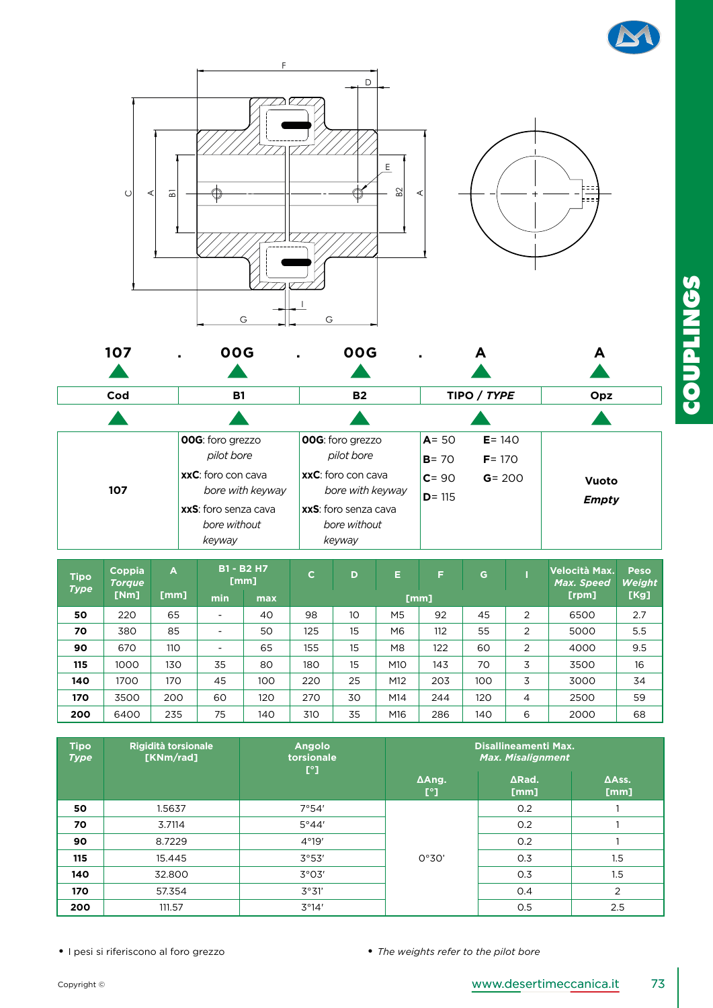





| <b>Tipo</b><br><b>Type</b> | Coppia<br><b>Torque</b> | $\overline{A}$ | <b>B1 - B2 H7</b><br>[mm] |     | $\mathbf C$ | D  | E.  | F   | G.  |       | Velocità Max.<br>Max. Speed | Peso<br><b>Weight</b> |
|----------------------------|-------------------------|----------------|---------------------------|-----|-------------|----|-----|-----|-----|-------|-----------------------------|-----------------------|
|                            | [Nm]                    | [mm]           | min                       | max | [mm]        |    |     |     |     | [rpm] | [Kg]                        |                       |
| 50                         | 220                     | 65             | $\overline{\phantom{a}}$  | 40  | 98          | 10 | M5  | 92  | 45  | 2     | 6500                        | 2.7                   |
| 70                         | 380                     | 85             |                           | 50  | 125         | 15 | M6  | 112 | 55  | 2     | 5000                        | 5.5                   |
| 90                         | 670                     | 110            | $\overline{\phantom{0}}$  | 65  | 155         | 15 | M8  | 122 | 60  | 2     | 4000                        | 9.5                   |
| 115                        | 1000                    | 130            | 35                        | 80  | 180         | 15 | M10 | 143 | 70  | 3     | 3500                        | 16                    |
| 140                        | 1700                    | 170            | 45                        | 100 | 220         | 25 | M12 | 203 | 100 | 3     | 3000                        | 34                    |
| 170                        | 3500                    | 200            | 60                        | 120 | 270         | 30 | M14 | 244 | 120 | 4     | 2500                        | 59                    |
| 200                        | 6400                    | 235            | 75                        | 140 | 310         | 35 | M16 | 286 | 140 | 6     | 2000                        | 68                    |

| <b>Tipo</b><br><b>Type</b> | <b>Rigidità torsionale</b><br>[KNm/rad] | <b>Angolo</b><br>torsionale | <b>Disallineamenti Max.</b><br><b>Max. Misalignment</b> |                       |                       |  |
|----------------------------|-----------------------------------------|-----------------------------|---------------------------------------------------------|-----------------------|-----------------------|--|
|                            |                                         | $\mathsf{I}^{\circ}$        | ΔAng.<br>$\mathbb{I}^{\circ}$                           | $\Delta$ Rad.<br>[mm] | $\Delta$ Ass.<br>[mm] |  |
| 50                         | 1.5637                                  | 7°54'                       |                                                         | O.2                   |                       |  |
| 70                         | 3.7114                                  | 5°44'                       |                                                         | 0.2                   |                       |  |
| 90                         | 8.7229                                  | 4°19'                       |                                                         | 0.2                   |                       |  |
| 115                        | 15.445                                  | 3°53'                       | 0°30'                                                   | 0.3                   | 1.5                   |  |
| 140                        | 32,800                                  | 3°03'                       |                                                         | 0.3                   | 1.5                   |  |
| 170                        | 57.354                                  | 3°31'                       |                                                         | 0.4                   | 2                     |  |
| 200                        | 111.57                                  | 3°14'                       |                                                         | 0.5                   | 2.5                   |  |

**COUPLINGS**

**COUPLINGS** 

• I pesi si riferiscono al foro grezzo • *The weights refer to the pilot bore*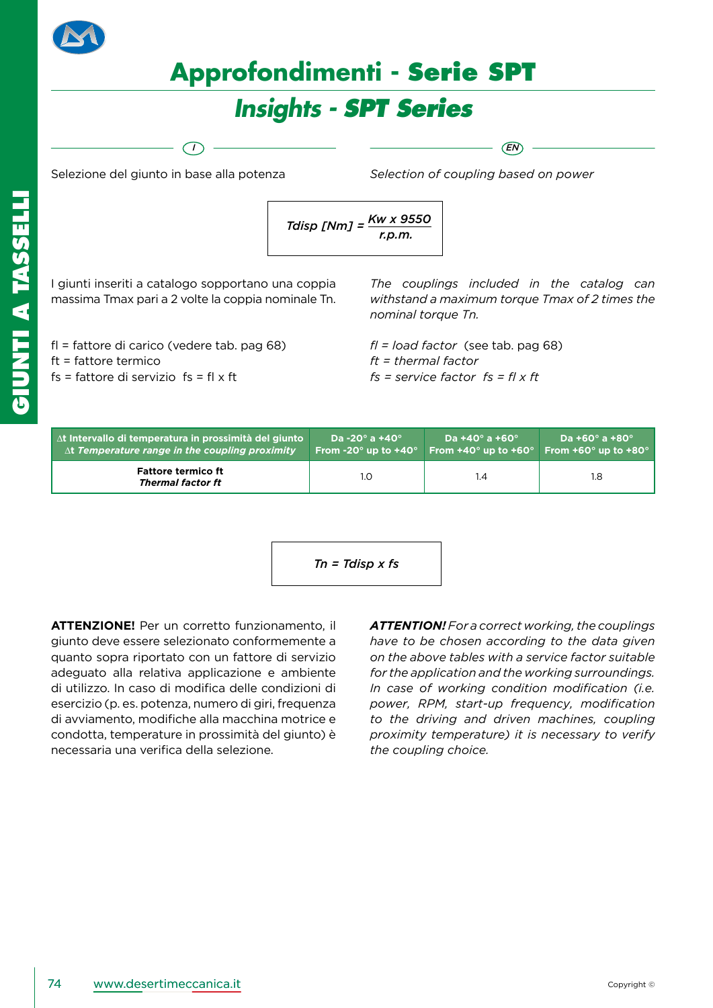



# *Insights - SPT Series*

*I EN*

Selezione del giunto in base alla potenza

*Selection of coupling based on power*

$$
Tdisp \; [Nm] = \frac{Kw \times 9550}{r.p.m.}
$$

I giunti inseriti a catalogo sopportano una coppia massima Tmax pari a 2 volte la coppia nominale Tn.

fl = fattore di carico (vedere tab. pag 68) ft = fattore termico fs = fattore di servizio  $fs = fl \times ft$ 

*The couplings included in the catalog can withstand a maximum torque Tmax of 2 times the nominal torque Tn.*

*fl = load factor* (see tab. pag 68) *ft = thermal factor fs = service factor fs = fl x ft*

| $\Delta t$ Intervallo di temperatura in prossimità del giunto | Da -20° a +40° $\,$                      | Da +40 $^{\circ}$ a +60 $^{\circ}$ | Da +60 $^{\circ}$ a +80 $^{\circ}$       |
|---------------------------------------------------------------|------------------------------------------|------------------------------------|------------------------------------------|
| $\Delta t$ Temperature range in the coupling proximity        | From -20 $^{\circ}$ up to +40 $^{\circ}$ | From $+40^\circ$ up to $+60^\circ$ | From +60 $^{\circ}$ up to +80 $^{\circ}$ |
| <b>Fattore termico ft</b><br>Thermal factor ft                | 1.0                                      | l.4                                | 1.8                                      |

$$
Tn = Tdisp \times fs
$$

**ATTENZIONE!** Per un corretto funzionamento, il giunto deve essere selezionato conformemente a quanto sopra riportato con un fattore di servizio adeguato alla relativa applicazione e ambiente di utilizzo. In caso di modifica delle condizioni di esercizio (p. es. potenza, numero di giri, frequenza di avviamento, modifiche alla macchina motrice e condotta, temperature in prossimità del giunto) è necessaria una verifica della selezione.

*ATTENTION! For a correct working, the couplings have to be chosen according to the data given on the above tables with a service factor suitable for the application and the working surroundings. In case of working condition modification (i.e. power, RPM, start-up frequency, modification to the driving and driven machines, coupling proximity temperature) it is necessary to verify the coupling choice.*